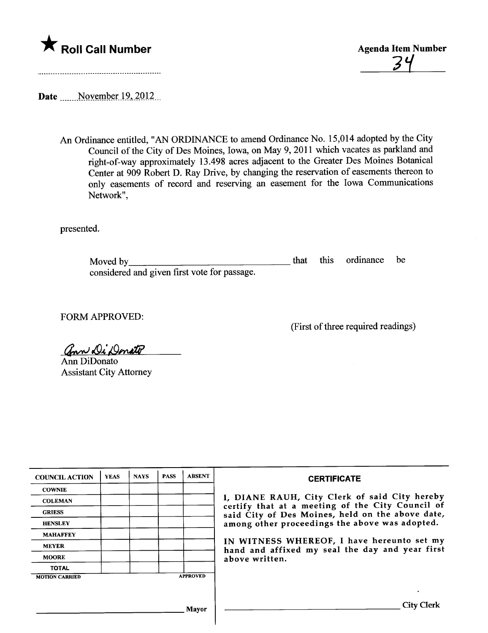



Date November 19, 2012...

An Ordinance entitled, "AN ORDINANCE to amend Ordinance No. 15,014 adopted by the City Council of the City of Des Moines, Iowa, on May 9, 2011 which vacates as parkland and right-of-way approximately 13.498 acres adjacent to the Greater Des Moines Botancal Center at 909 Robert D. Ray Drive, by changing the reservation of easements thereon to only easements of record and reserving an easement for the Iowa Communications Network",

presented.

Moved by considered and given first vote for passage. that this ordinance be

FORM APPROVED:

(First of three required readings)

ann Di Donato

Ann DiDonato Assistant City Attorney

| <b>COUNCIL ACTION</b> | <b>YEAS</b> | <b>NAYS</b> | <b>PASS</b> | <b>ABSENT</b>   | <b>CERTIFICATE</b>                                                                                                                                                                                                                                                                                                         |
|-----------------------|-------------|-------------|-------------|-----------------|----------------------------------------------------------------------------------------------------------------------------------------------------------------------------------------------------------------------------------------------------------------------------------------------------------------------------|
| <b>COWNIE</b>         |             |             |             |                 | I, DIANE RAUH, City Clerk of said City hereby<br>certify that at a meeting of the City Council of<br>said City of Des Moines, held on the above date,<br>among other proceedings the above was adopted.<br>IN WITNESS WHEREOF, I have hereunto set my<br>hand and affixed my seal the day and year first<br>above written. |
| <b>COLEMAN</b>        |             |             |             |                 |                                                                                                                                                                                                                                                                                                                            |
| <b>GRIESS</b>         |             |             |             |                 |                                                                                                                                                                                                                                                                                                                            |
| <b>HENSLEY</b>        |             |             |             |                 |                                                                                                                                                                                                                                                                                                                            |
| <b>MAHAFFEY</b>       |             |             |             |                 |                                                                                                                                                                                                                                                                                                                            |
| <b>MEYER</b>          |             |             |             |                 |                                                                                                                                                                                                                                                                                                                            |
| <b>MOORE</b>          |             |             |             |                 |                                                                                                                                                                                                                                                                                                                            |
| <b>TOTAL</b>          |             |             |             |                 |                                                                                                                                                                                                                                                                                                                            |
| <b>MOTION CARRIED</b> |             |             |             | <b>APPROVED</b> |                                                                                                                                                                                                                                                                                                                            |
|                       |             |             |             |                 |                                                                                                                                                                                                                                                                                                                            |
|                       |             |             |             | Mayor           | City Clerk                                                                                                                                                                                                                                                                                                                 |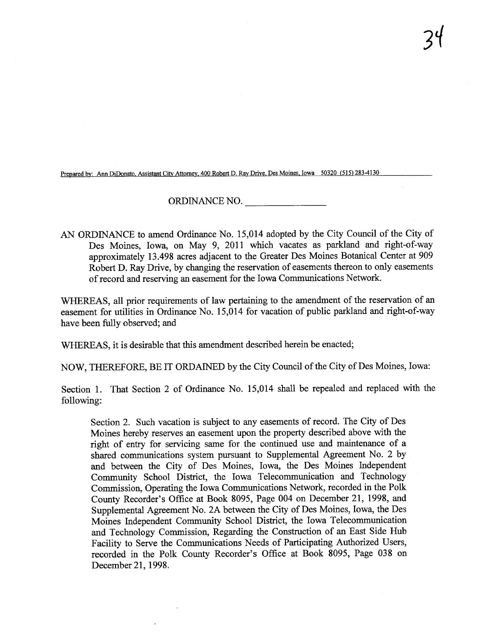Prepared by: Ann DiDonato, Assistant City Attorney, 400 Robert D. Ray Drive, Des Moines, Iowa 50320 (515) 283-4130

## ORDINANCE NO.

AN ORDINANCE to amend Ordinance No. 15,014 adopted by the City Council of the City of Des Moines, Iowa, on May 9, 2011 which vacates as parkland and right-of-way approximately 13.498 acres adjacent to the Greater Des Moines Botanical Center at 909 Robert D. Ray Drive, by changing the reservation of easements thereon to only easements of record and reserving an easement for the Iowa Communcations Network.

WHEREAS, all prior requirements of law pertaining to the amendment of the reservation of an easement for utilities in Ordinance No. 15,014 for vacation of public parkland and right-of-way have been fuly observed; and

WHEREAS, it is desirable that this amendment described herein be enacted;

NOW, THEREFORE, BE IT ORDAINED by the City Council of the City of Des Moines, Iowa:

Section 1. That Section 2 of Ordinance No. 15,014 shall be repealed and replaced with the following:

Section 2. Such vacation is subject to any easements of record. The City of Des Moines hereby reserves an easement upon the property described above with the right of entry for servicing same for the continued use and maintenance of a shared communications system pursuant to Supplemental Agreement No. 2 by and between the City of Des Moines, Iowa, the Des Moines Independent Community School District, the Iowa Telecommunication and Technology Commission, Operating the Iowa Communications Network, recorded in the Polk County Recorder's Office at Book 8095, Page 004 on December 21, 1998, and Supplemental Agreement No. 2A between the City of Des Moines, Iowa, the Des Moines Independent Community School District, the Iowa Telecommunication and Technology Commission, Regarding the Construction of an East Side Hub Facility to Serve the Communcations Needs of Paricipating Authorized Users, recorded in the Polk County Recorder's Office at Book 8095, Page 038 on December 21, 1998.